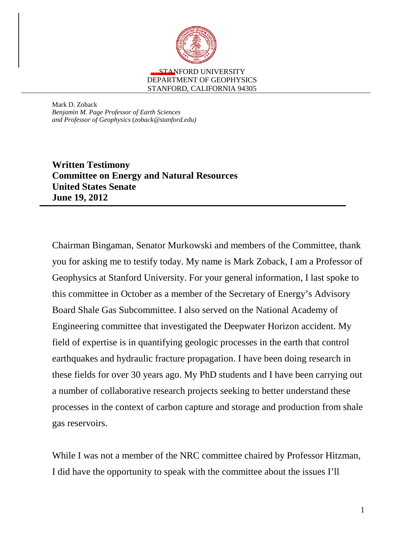

Mark D. Zoback *Benjamin M. Page Professor of Earth Sciences and Professor of Geophysics* (*zoback@stanford.edu)*

**Written Testimony Committee on Energy and Natural Resources United States Senate June 19, 2012** 

Chairman Bingaman, Senator Murkowski and members of the Committee, thank you for asking me to testify today. My name is Mark Zoback, I am a Professor of Geophysics at Stanford University. For your general information, I last spoke to this committee in October as a member of the Secretary of Energy's Advisory Board Shale Gas Subcommittee. I also served on the National Academy of Engineering committee that investigated the Deepwater Horizon accident. My field of expertise is in quantifying geologic processes in the earth that control earthquakes and hydraulic fracture propagation. I have been doing research in these fields for over 30 years ago. My PhD students and I have been carrying out a number of collaborative research projects seeking to better understand these processes in the context of carbon capture and storage and production from shale gas reservoirs.

While I was not a member of the NRC committee chaired by Professor Hitzman, I did have the opportunity to speak with the committee about the issues I'll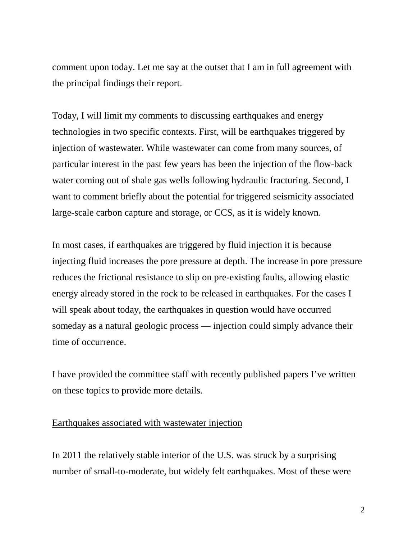comment upon today. Let me say at the outset that I am in full agreement with the principal findings their report.

Today, I will limit my comments to discussing earthquakes and energy technologies in two specific contexts. First, will be earthquakes triggered by injection of wastewater. While wastewater can come from many sources, of particular interest in the past few years has been the injection of the flow-back water coming out of shale gas wells following hydraulic fracturing. Second, I want to comment briefly about the potential for triggered seismicity associated large-scale carbon capture and storage, or CCS, as it is widely known.

In most cases, if earthquakes are triggered by fluid injection it is because injecting fluid increases the pore pressure at depth. The increase in pore pressure reduces the frictional resistance to slip on pre-existing faults, allowing elastic energy already stored in the rock to be released in earthquakes. For the cases I will speak about today, the earthquakes in question would have occurred someday as a natural geologic process — injection could simply advance their time of occurrence.

I have provided the committee staff with recently published papers I've written on these topics to provide more details.

## Earthquakes associated with wastewater injection

In 2011 the relatively stable interior of the U.S. was struck by a surprising number of small-to-moderate, but widely felt earthquakes. Most of these were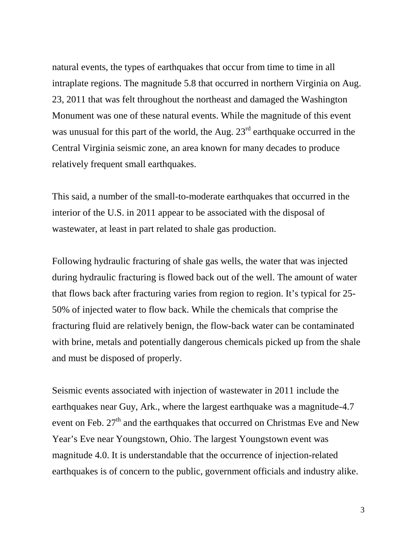natural events, the types of earthquakes that occur from time to time in all intraplate regions. The magnitude 5.8 that occurred in northern Virginia on Aug. 23, 2011 that was felt throughout the northeast and damaged the Washington Monument was one of these natural events. While the magnitude of this event was unusual for this part of the world, the Aug.  $23<sup>rd</sup>$  earthquake occurred in the Central Virginia seismic zone, an area known for many decades to produce relatively frequent small earthquakes.

This said, a number of the small-to-moderate earthquakes that occurred in the interior of the U.S. in 2011 appear to be associated with the disposal of wastewater, at least in part related to shale gas production.

Following hydraulic fracturing of shale gas wells, the water that was injected during hydraulic fracturing is flowed back out of the well. The amount of water that flows back after fracturing varies from region to region. It's typical for 25- 50% of injected water to flow back. While the chemicals that comprise the fracturing fluid are relatively benign, the flow-back water can be contaminated with brine, metals and potentially dangerous chemicals picked up from the shale and must be disposed of properly.

Seismic events associated with injection of wastewater in 2011 include the earthquakes near Guy, Ark., where the largest earthquake was a magnitude-4.7 event on Feb.  $27<sup>th</sup>$  and the earthquakes that occurred on Christmas Eve and New Year's Eve near Youngstown, Ohio. The largest Youngstown event was magnitude 4.0. It is understandable that the occurrence of injection-related earthquakes is of concern to the public, government officials and industry alike.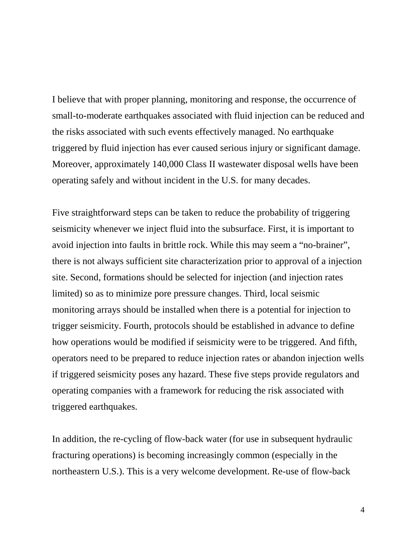I believe that with proper planning, monitoring and response, the occurrence of small-to-moderate earthquakes associated with fluid injection can be reduced and the risks associated with such events effectively managed. No earthquake triggered by fluid injection has ever caused serious injury or significant damage. Moreover, approximately 140,000 Class II wastewater disposal wells have been operating safely and without incident in the U.S. for many decades.

Five straightforward steps can be taken to reduce the probability of triggering seismicity whenever we inject fluid into the subsurface. First, it is important to avoid injection into faults in brittle rock. While this may seem a "no-brainer", there is not always sufficient site characterization prior to approval of a injection site. Second, formations should be selected for injection (and injection rates limited) so as to minimize pore pressure changes. Third, local seismic monitoring arrays should be installed when there is a potential for injection to trigger seismicity. Fourth, protocols should be established in advance to define how operations would be modified if seismicity were to be triggered. And fifth, operators need to be prepared to reduce injection rates or abandon injection wells if triggered seismicity poses any hazard. These five steps provide regulators and operating companies with a framework for reducing the risk associated with triggered earthquakes.

In addition, the re-cycling of flow-back water (for use in subsequent hydraulic fracturing operations) is becoming increasingly common (especially in the northeastern U.S.). This is a very welcome development. Re-use of flow-back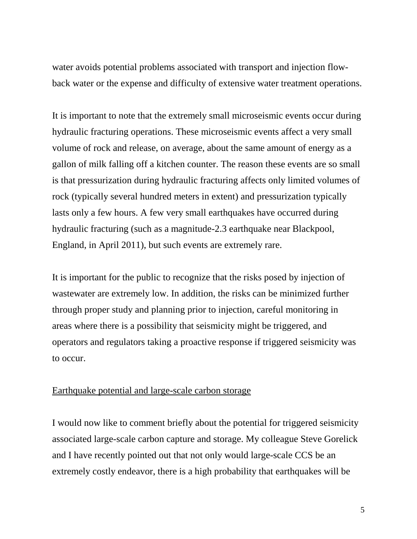water avoids potential problems associated with transport and injection flowback water or the expense and difficulty of extensive water treatment operations.

It is important to note that the extremely small microseismic events occur during hydraulic fracturing operations. These microseismic events affect a very small volume of rock and release, on average, about the same amount of energy as a gallon of milk falling off a kitchen counter. The reason these events are so small is that pressurization during hydraulic fracturing affects only limited volumes of rock (typically several hundred meters in extent) and pressurization typically lasts only a few hours. A few very small earthquakes have occurred during hydraulic fracturing (such as a magnitude-2.3 earthquake near Blackpool, England, in April 2011), but such events are extremely rare.

It is important for the public to recognize that the risks posed by injection of wastewater are extremely low. In addition, the risks can be minimized further through proper study and planning prior to injection, careful monitoring in areas where there is a possibility that seismicity might be triggered, and operators and regulators taking a proactive response if triggered seismicity was to occur.

## Earthquake potential and large-scale carbon storage

I would now like to comment briefly about the potential for triggered seismicity associated large-scale carbon capture and storage. My colleague Steve Gorelick and I have recently pointed out that not only would large-scale CCS be an extremely costly endeavor, there is a high probability that earthquakes will be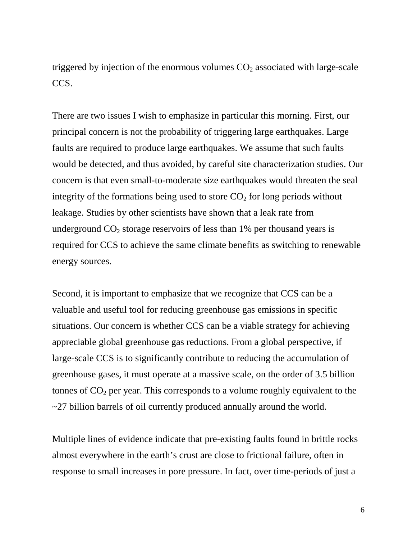triggered by injection of the enormous volumes  $CO<sub>2</sub>$  associated with large-scale CCS.

There are two issues I wish to emphasize in particular this morning. First, our principal concern is not the probability of triggering large earthquakes. Large faults are required to produce large earthquakes. We assume that such faults would be detected, and thus avoided, by careful site characterization studies. Our concern is that even small-to-moderate size earthquakes would threaten the seal integrity of the formations being used to store  $CO<sub>2</sub>$  for long periods without leakage. Studies by other scientists have shown that a leak rate from underground  $CO<sub>2</sub>$  storage reservoirs of less than 1% per thousand years is required for CCS to achieve the same climate benefits as switching to renewable energy sources.

Second, it is important to emphasize that we recognize that CCS can be a valuable and useful tool for reducing greenhouse gas emissions in specific situations. Our concern is whether CCS can be a viable strategy for achieving appreciable global greenhouse gas reductions. From a global perspective, if large-scale CCS is to significantly contribute to reducing the accumulation of greenhouse gases, it must operate at a massive scale, on the order of 3.5 billion tonnes of  $CO<sub>2</sub>$  per year. This corresponds to a volume roughly equivalent to the ~27 billion barrels of oil currently produced annually around the world.

Multiple lines of evidence indicate that pre-existing faults found in brittle rocks almost everywhere in the earth's crust are close to frictional failure, often in response to small increases in pore pressure. In fact, over time-periods of just a